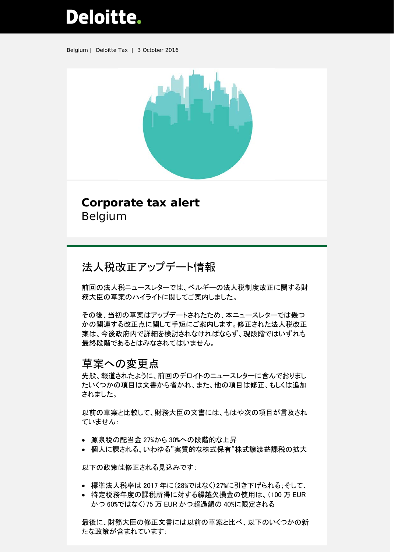# **Deloitte.**

Belgium | Deloitte Tax | 3 October 2016



## **Corporate tax alert** Belgium

# 法人税改正アップデート情報

前回の法人税ニュースレターでは、ベルギーの法人税制度改正に関する財 務大臣の草案のハイライトに関してご案内しました。

その後、当初の草案はアップデートされたため、本ニュースレターでは幾つ かの関連する改正点に関して手短にご案内します。修正された法人税改正 案は、今後政府内で詳細を検討されなければならず、現段階ではいずれも 最終段階であるとはみなされてはいません。

## 草案への変更点

先般、報道されたように、前回のデロイトのニュースレターに含んでおりまし たいくつかの項目は文書から省かれ、また、他の項目は修正、もしくは追加 されました。

以前の草案と比較して、財務大臣の文書には、もはや次の項目が言及され ていません:

- 源泉税の配当金 27%から 30%への段階的な上昇
- 個人に課される、いわゆる"実質的な株式保有"株式譲渡益課税の拡大

以下の政策は修正される見込みです:

- 標準法人税率は 2017 年に(28%ではなく)27%に引き下げられる;そして、
- 特定税務年度の課税所得に対する繰越欠損金の使用は、(100 万 EUR かつ 60%ではなく)75 万 EUR かつ超過額の 40%に限定される

最後に、財務大臣の修正文書には以前の草案と比べ、以下のいくつかの新 たな政策が含まれています: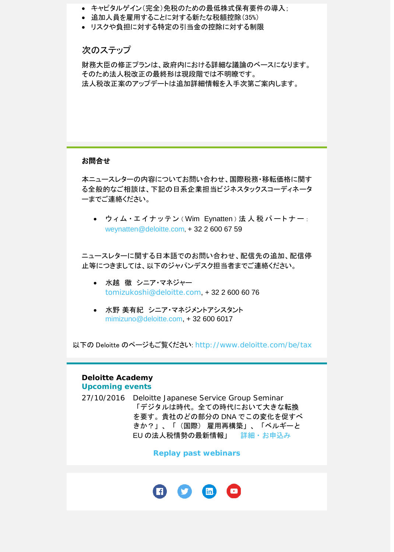- キャピタルゲイン(完全)免税のための最低株式保有要件の導入;
- 追加人員を雇用することに対する新たな税額控除(35%)
- リスクや負担に対する特定の引当金の控除に対する制限

## 次のステップ

財務大臣の修正プランは、政府内における詳細な議論のベースになります。 そのため法人税改正の最終形は現段階では不明瞭です。 法人税改正案のアップデートは追加詳細情報を入手次第ご案内します。

### お問合せ

本ニュースレターの内容についてお問い合わせ、国際税務・移転価格に関す る全般的なご相談は、下記の日系企業担当ビジネスタックスコーディネータ ーまでご連絡ください。

● ウィム・エイナッテン (Wim Eynatten) 法人税 パートナー : [weynatten@deloitte.com,](mailto:weynatten@deloitte.com) + 32 2 600 67 59

ニュースレターに関する日本語でのお問い合わせ、配信先の追加、配信停 止等につきましては、以下のジャパンデスク担当者までご連絡ください。

- 水越 徹 シニア・マネジャー [tomizukoshi@deloitte.com](mailto:tomizukoshi@deloitte.com), + 32 2 600 60 76
- 水野 美有紀 シニア・マネジメントアシスタント [mimizuno@deloitte.com,](mailto:mimizuno@deloitte.com) + 32 600 6017

以下の Deloitte のページもご覧ください: <http://www.deloitte.com/be/tax>

#### **Deloitte Academy Upcoming events**

27/10/2016 Deloitte Japanese Service Group Seminar 「デジタルは時代。全ての時代において大きな転換 を要す。貴社のどの部分の DNA でこの変化を促すべ きか?」、「(国際) 雇用再構築」、「ベルギーと EU の法人税情勢の最新情報」 [詳細・お申込み](mailto:mimizuno@deloitte.com?subject=OCT%20JSG%20Seminar%E3%81%8A%E5%95%8F%E5%90%88%E3%81%9B)

**[Replay past webinars](http://www2.deloitte.com/be/en/pages/tax/events/deloitte-academy-belgium-deloitte-belgium/Tax-Deloitte-Academy-Deloitte-Belgium/Replay-past-Webinars-Tax-Deloitte-Academy-Belgium.html)**